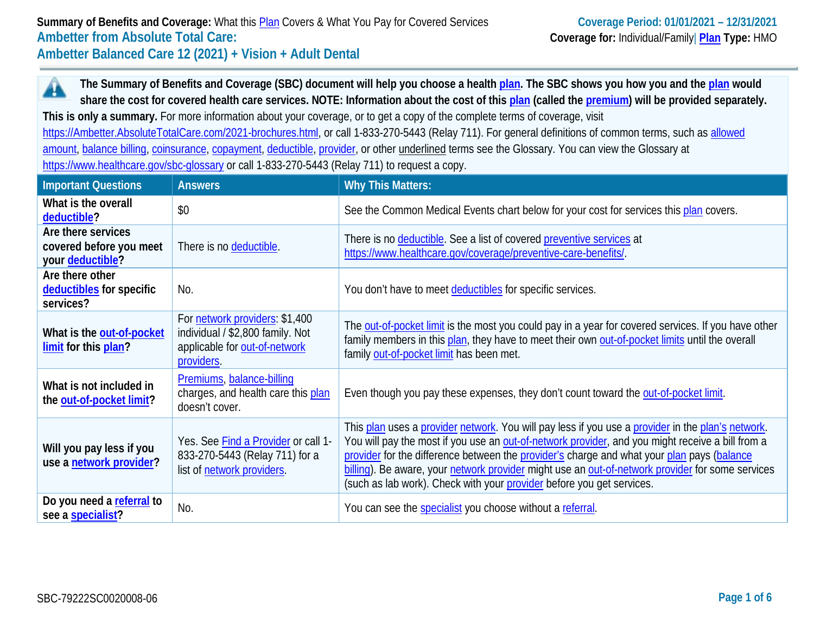**The Summary of Benefits and Coverage (SBC) document will help you choose a health [plan.](https://www.healthcare.gov/sbc-glossary/#plan) The SBC shows you how you and the [plan](https://www.healthcare.gov/sbc-glossary/#plan) would**  A **share the cost for covered health care services. NOTE: Information about the cost of thi[s plan](https://www.healthcare.gov/sbc-glossary/#plan) (called the [premium\)](https://www.healthcare.gov/sbc-glossary/#premium) will be provided separately. This is only a summary.** For more information about your coverage, or to get a copy of the complete terms of coverage, visit [https://Ambetter.AbsoluteTotalCare.com/2021-brochures.html,](https://ambetter.absolutetotalcare.com/2021-brochures.html) or call 1-833-270-5443 (Relay 711). For general definitions of common terms, such as [allowed](https://www.healthcare.gov/sbc-glossary/#allowed-amount)  [amount,](https://www.healthcare.gov/sbc-glossary/#allowed-amount) [balance billing,](https://www.healthcare.gov/sbc-glossary/#balance-billing) [coinsurance,](https://www.healthcare.gov/sbc-glossary/#coinsurance) [copayment,](https://www.healthcare.gov/sbc-glossary/#copayment) [deductible,](https://www.healthcare.gov/sbc-glossary/#deductible) [provider,](https://www.healthcare.gov/sbc-glossary/#provider) or other underlined terms see the Glossary. You can view the Glossary at <https://www.healthcare.gov/sbc-glossary> or call 1-833-270-5443 (Relay 711) to request a copy.

| <b>Important Questions</b>                                        | <b>Answers</b>                                                                                                    | <b>Why This Matters:</b>                                                                                                                                                                                                                                                                                                                                                                                                                                                         |
|-------------------------------------------------------------------|-------------------------------------------------------------------------------------------------------------------|----------------------------------------------------------------------------------------------------------------------------------------------------------------------------------------------------------------------------------------------------------------------------------------------------------------------------------------------------------------------------------------------------------------------------------------------------------------------------------|
| What is the overall<br>deductible?                                | \$0                                                                                                               | See the Common Medical Events chart below for your cost for services this plan covers.                                                                                                                                                                                                                                                                                                                                                                                           |
| Are there services<br>covered before you meet<br>your deductible? | There is no deductible.                                                                                           | There is no deductible. See a list of covered preventive services at<br>https://www.healthcare.gov/coverage/preventive-care-benefits/.                                                                                                                                                                                                                                                                                                                                           |
| Are there other<br>deductibles for specific<br>services?          | No.                                                                                                               | You don't have to meet deductibles for specific services.                                                                                                                                                                                                                                                                                                                                                                                                                        |
| What is the out-of-pocket<br>limit for this plan?                 | For network providers: \$1,400<br>individual / \$2,800 family. Not<br>applicable for out-of-network<br>providers. | The out-of-pocket limit is the most you could pay in a year for covered services. If you have other<br>family members in this plan, they have to meet their own out-of-pocket limits until the overall<br>family out-of-pocket limit has been met.                                                                                                                                                                                                                               |
| What is not included in<br>the out-of-pocket limit?               | Premiums, balance-billing<br>charges, and health care this plan<br>doesn't cover.                                 | Even though you pay these expenses, they don't count toward the out-of-pocket limit.                                                                                                                                                                                                                                                                                                                                                                                             |
| Will you pay less if you<br>use a network provider?               | Yes. See Find a Provider or call 1-<br>833-270-5443 (Relay 711) for a<br>list of network providers.               | This plan uses a provider network. You will pay less if you use a provider in the plan's network.<br>You will pay the most if you use an out-of-network provider, and you might receive a bill from a<br>provider for the difference between the provider's charge and what your plan pays (balance<br>billing). Be aware, your network provider might use an out-of-network provider for some services<br>(such as lab work). Check with your provider before you get services. |
| Do you need a referral to<br>see a specialist?                    | No.                                                                                                               | You can see the specialist you choose without a referral.                                                                                                                                                                                                                                                                                                                                                                                                                        |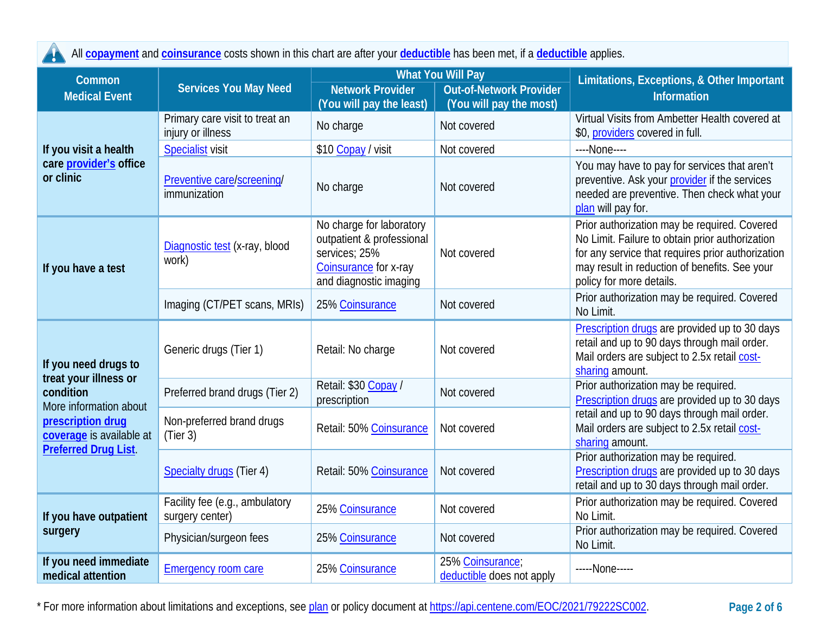| All copayment and coinsurance costs shown in this chart are after your deductible has been met, if a deductible applies.                                            |                                                     |                                                                                                                           |                                                                                       |                                                                                                                                                                                                                                   |
|---------------------------------------------------------------------------------------------------------------------------------------------------------------------|-----------------------------------------------------|---------------------------------------------------------------------------------------------------------------------------|---------------------------------------------------------------------------------------|-----------------------------------------------------------------------------------------------------------------------------------------------------------------------------------------------------------------------------------|
| Common<br><b>Medical Event</b>                                                                                                                                      | <b>Services You May Need</b>                        | <b>Network Provider</b><br>(You will pay the least)                                                                       | <b>What You Will Pay</b><br><b>Out-of-Network Provider</b><br>(You will pay the most) | Limitations, Exceptions, & Other Important<br><b>Information</b>                                                                                                                                                                  |
|                                                                                                                                                                     | Primary care visit to treat an<br>injury or illness | No charge                                                                                                                 | Not covered                                                                           | Virtual Visits from Ambetter Health covered at<br>\$0, providers covered in full.                                                                                                                                                 |
| If you visit a health                                                                                                                                               | <b>Specialist visit</b>                             | \$10 Copay / visit                                                                                                        | Not covered                                                                           | ----None----                                                                                                                                                                                                                      |
| care <i>provider's</i> office<br>or clinic                                                                                                                          | Preventive care/screening/<br>immunization          | No charge                                                                                                                 | Not covered                                                                           | You may have to pay for services that aren't<br>preventive. Ask your provider if the services<br>needed are preventive. Then check what your<br>plan will pay for.                                                                |
| If you have a test                                                                                                                                                  | Diagnostic test (x-ray, blood<br>work)              | No charge for laboratory<br>outpatient & professional<br>services; 25%<br>Coinsurance for x-ray<br>and diagnostic imaging | Not covered                                                                           | Prior authorization may be required. Covered<br>No Limit. Failure to obtain prior authorization<br>for any service that requires prior authorization<br>may result in reduction of benefits. See your<br>policy for more details. |
|                                                                                                                                                                     | Imaging (CT/PET scans, MRIs)                        | 25% Coinsurance                                                                                                           | Not covered                                                                           | Prior authorization may be required. Covered<br>No Limit.                                                                                                                                                                         |
| If you need drugs to<br>treat your illness or<br>condition<br>More information about<br>prescription drug<br>coverage is available at<br><b>Preferred Drug List</b> | Generic drugs (Tier 1)                              | Retail: No charge                                                                                                         | Not covered                                                                           | Prescription drugs are provided up to 30 days<br>retail and up to 90 days through mail order.<br>Mail orders are subject to 2.5x retail cost-<br>sharing amount.                                                                  |
|                                                                                                                                                                     | Preferred brand drugs (Tier 2)                      | Retail: \$30 Copay /<br>prescription                                                                                      | Not covered                                                                           | Prior authorization may be required.<br>Prescription drugs are provided up to 30 days                                                                                                                                             |
|                                                                                                                                                                     | Non-preferred brand drugs<br>(Tier 3)               | Retail: 50% Coinsurance                                                                                                   | Not covered                                                                           | retail and up to 90 days through mail order.<br>Mail orders are subject to 2.5x retail cost-<br>sharing amount.                                                                                                                   |
|                                                                                                                                                                     | <b>Specialty drugs (Tier 4)</b>                     | Retail: 50% Coinsurance                                                                                                   | Not covered                                                                           | Prior authorization may be required.<br>Prescription drugs are provided up to 30 days<br>retail and up to 30 days through mail order.                                                                                             |
| If you have outpatient<br>surgery                                                                                                                                   | Facility fee (e.g., ambulatory<br>surgery center)   | 25% Coinsurance                                                                                                           | Not covered                                                                           | Prior authorization may be required. Covered<br>No Limit.                                                                                                                                                                         |
|                                                                                                                                                                     | Physician/surgeon fees                              | 25% Coinsurance                                                                                                           | Not covered                                                                           | Prior authorization may be required. Covered<br>No Limit.                                                                                                                                                                         |
| If you need immediate<br>medical attention                                                                                                                          | <b>Emergency room care</b>                          | 25% Coinsurance                                                                                                           | 25% Coinsurance;<br>deductible does not apply                                         | -----None-----                                                                                                                                                                                                                    |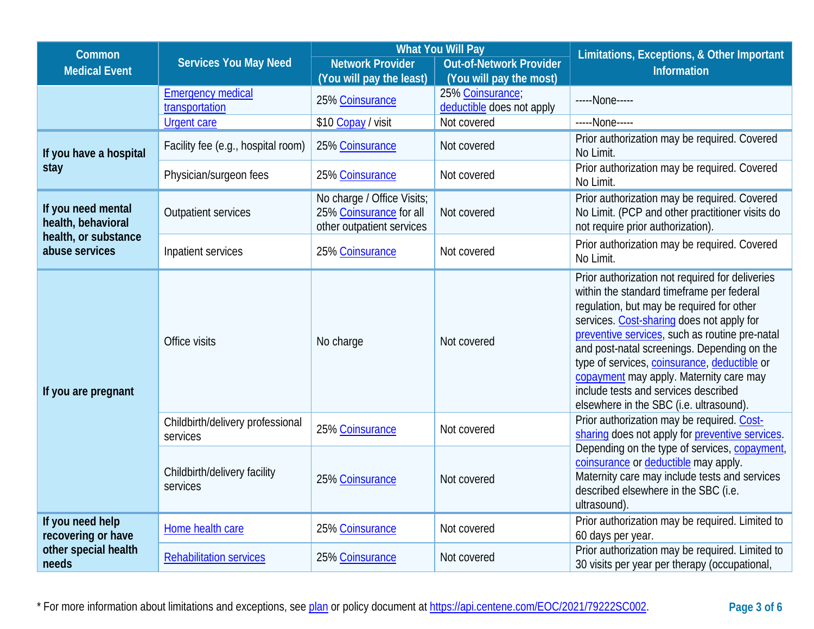| Common                                                                             | <b>Services You May Need</b>                 |                                                                                    | <b>What You Will Pay</b>                                  | Limitations, Exceptions, & Other Important                                                                                                                                                                                                                                                                                                                                                                                                                            |  |
|------------------------------------------------------------------------------------|----------------------------------------------|------------------------------------------------------------------------------------|-----------------------------------------------------------|-----------------------------------------------------------------------------------------------------------------------------------------------------------------------------------------------------------------------------------------------------------------------------------------------------------------------------------------------------------------------------------------------------------------------------------------------------------------------|--|
| <b>Medical Event</b>                                                               |                                              | <b>Network Provider</b><br>(You will pay the least)                                | <b>Out-of-Network Provider</b><br>(You will pay the most) | <b>Information</b>                                                                                                                                                                                                                                                                                                                                                                                                                                                    |  |
|                                                                                    | <b>Emergency medical</b><br>transportation   | 25% Coinsurance                                                                    | 25% Coinsurance;<br>deductible does not apply             | -----None-----                                                                                                                                                                                                                                                                                                                                                                                                                                                        |  |
|                                                                                    | <b>Urgent care</b>                           | \$10 Copay / visit                                                                 | Not covered                                               | -----None-----                                                                                                                                                                                                                                                                                                                                                                                                                                                        |  |
| If you have a hospital<br>stay                                                     | Facility fee (e.g., hospital room)           | 25% Coinsurance                                                                    | Not covered                                               | Prior authorization may be required. Covered<br>No Limit.                                                                                                                                                                                                                                                                                                                                                                                                             |  |
|                                                                                    | Physician/surgeon fees                       | 25% Coinsurance                                                                    | Not covered                                               | Prior authorization may be required. Covered<br>No Limit.                                                                                                                                                                                                                                                                                                                                                                                                             |  |
| If you need mental<br>health, behavioral<br>health, or substance<br>abuse services | <b>Outpatient services</b>                   | No charge / Office Visits;<br>25% Coinsurance for all<br>other outpatient services | Not covered                                               | Prior authorization may be required. Covered<br>No Limit. (PCP and other practitioner visits do<br>not require prior authorization).                                                                                                                                                                                                                                                                                                                                  |  |
|                                                                                    | Inpatient services                           | 25% Coinsurance                                                                    | Not covered                                               | Prior authorization may be required. Covered<br>No Limit.                                                                                                                                                                                                                                                                                                                                                                                                             |  |
| If you are pregnant                                                                | Office visits                                | No charge                                                                          | Not covered                                               | Prior authorization not required for deliveries<br>within the standard timeframe per federal<br>regulation, but may be required for other<br>services. Cost-sharing does not apply for<br>preventive services, such as routine pre-natal<br>and post-natal screenings. Depending on the<br>type of services, coinsurance, deductible or<br>copayment may apply. Maternity care may<br>include tests and services described<br>elsewhere in the SBC (i.e. ultrasound). |  |
|                                                                                    | Childbirth/delivery professional<br>services | 25% Coinsurance                                                                    | Not covered                                               | Prior authorization may be required. Cost-<br>sharing does not apply for preventive services.<br>Depending on the type of services, copayment,<br>coinsurance or deductible may apply.<br>Maternity care may include tests and services<br>described elsewhere in the SBC (i.e.<br>ultrasound).                                                                                                                                                                       |  |
|                                                                                    | Childbirth/delivery facility<br>services     | 25% Coinsurance                                                                    | Not covered                                               |                                                                                                                                                                                                                                                                                                                                                                                                                                                                       |  |
| If you need help<br>recovering or have<br>other special health<br>needs            | Home health care                             | 25% Coinsurance                                                                    | Not covered                                               | Prior authorization may be required. Limited to<br>60 days per year.                                                                                                                                                                                                                                                                                                                                                                                                  |  |
|                                                                                    | <b>Rehabilitation services</b>               | 25% Coinsurance                                                                    | Not covered                                               | Prior authorization may be required. Limited to<br>30 visits per year per therapy (occupational,                                                                                                                                                                                                                                                                                                                                                                      |  |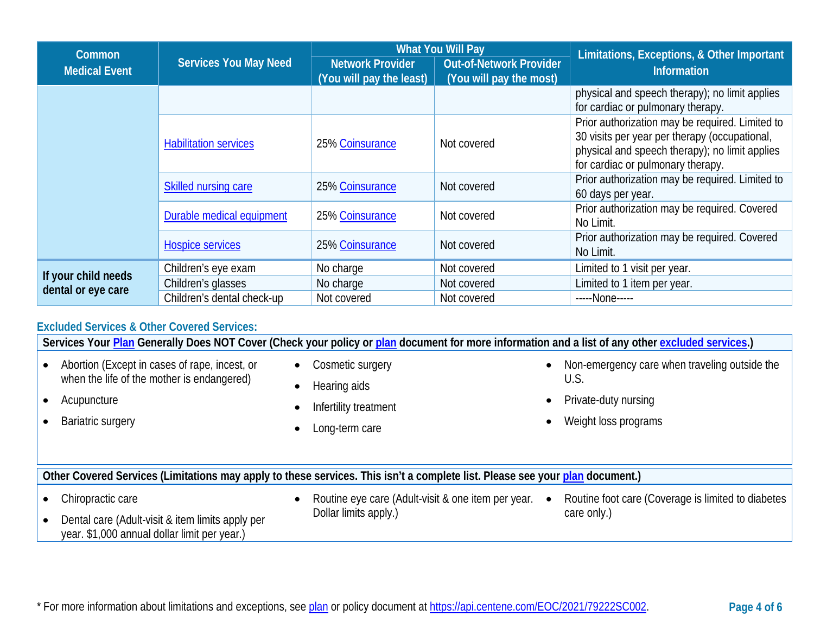| <b>Common</b>                             |                              | <b>What You Will Pay</b>                            |                                                           | Limitations, Exceptions, & Other Important                                                                                                                                              |  |
|-------------------------------------------|------------------------------|-----------------------------------------------------|-----------------------------------------------------------|-----------------------------------------------------------------------------------------------------------------------------------------------------------------------------------------|--|
| <b>Medical Event</b>                      | Services You May Need        | <b>Network Provider</b><br>(You will pay the least) | <b>Out-of-Network Provider</b><br>(You will pay the most) | <b>Information</b>                                                                                                                                                                      |  |
|                                           |                              |                                                     |                                                           | physical and speech therapy); no limit applies<br>for cardiac or pulmonary therapy.                                                                                                     |  |
|                                           | <b>Habilitation services</b> | 25% Coinsurance                                     | Not covered                                               | Prior authorization may be required. Limited to<br>30 visits per year per therapy (occupational,<br>physical and speech therapy); no limit applies<br>for cardiac or pulmonary therapy. |  |
|                                           | <b>Skilled nursing care</b>  | 25% Coinsurance                                     | Not covered                                               | Prior authorization may be required. Limited to<br>60 days per year.                                                                                                                    |  |
|                                           | Durable medical equipment    | 25% Coinsurance                                     | Not covered                                               | Prior authorization may be required. Covered<br>No Limit.                                                                                                                               |  |
|                                           | Hospice services             | 25% Coinsurance                                     | Not covered                                               | Prior authorization may be required. Covered<br>No Limit.                                                                                                                               |  |
| If your child needs<br>dental or eye care | Children's eye exam          | No charge                                           | Not covered                                               | Limited to 1 visit per year.                                                                                                                                                            |  |
|                                           | Children's glasses           | No charge                                           | Not covered                                               | Limited to 1 item per year.                                                                                                                                                             |  |
|                                           | Children's dental check-up   | Not covered                                         | Not covered                                               | -----None-----                                                                                                                                                                          |  |

# **Excluded Services & Other Covered Services:**

**Services Your [Plan](https://www.healthcare.gov/sbc-glossary/#plan) Generally Does NOT Cover (Check your policy or [plan](https://www.healthcare.gov/sbc-glossary/#plan) document for more information and a list of any other [excluded services.](https://www.healthcare.gov/sbc-glossary/#excluded-services))** • Abortion (Except in cases of rape, incest, or when the life of the mother is endangered) • Acupuncture • Bariatric surgery • Cosmetic surgery • Hearing aids • Infertility treatment • Long-term care • Non-emergency care when traveling outside the U.S. • Private-duty nursing • Weight loss programs **Other Covered Services (Limitations may apply to these services. This isn't a complete list. Please see your [plan](https://www.healthcare.gov/sbc-glossary/#plan) document.)**  • Chiropractic care • Dental care (Adult-visit & item limits apply per year. \$1,000 annual dollar limit per year.) • Routine eye care (Adult-visit & one item per year. • Dollar limits apply.) • Routine foot care (Coverage is limited to diabetes care only.)

\* For more information about limitations and exceptions, see [plan](https://www.healthcare.gov/sbc-glossary/#plan) or policy document at [https://api.centene.com/EOC/2021/79222SC002.](https://api.centene.com/EOC/2021/79222SC002) **Page 4 of 6**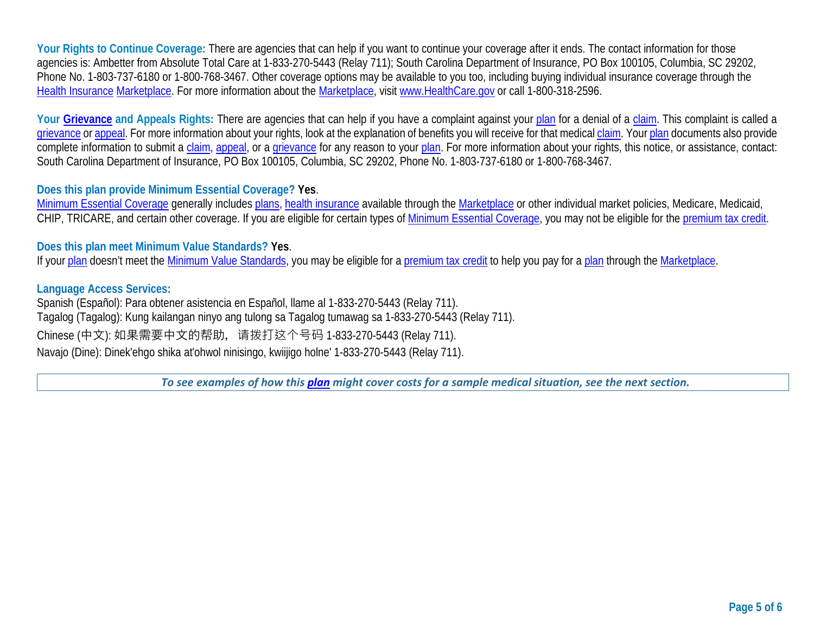Your Rights to Continue Coverage: There are agencies that can help if you want to continue your coverage after it ends. The contact information for those agencies is: Ambetter from Absolute Total Care at 1-833-270-5443 (Relay 711); South Carolina Department of Insurance, PO Box 100105, Columbia, SC 29202, Phone No. 1-803-737-6180 or 1-800-768-3467. Other coverage options may be available to you too, including buying individual insurance coverage through the [Health Insurance](https://www.healthcare.gov/sbc-glossary/#health-insurance) [Marketplace.](https://www.healthcare.gov/sbc-glossary/#marketplace) For more information about the [Marketplace,](https://www.healthcare.gov/sbc-glossary/#marketplace) visit [www.HealthCare.gov](http://www.healthcare.gov/) or call 1-800-318-2596.

Your [Grievance](https://www.healthcare.gov/sbc-glossary/#grievance) and Appeals Rights: There are agencies that can help if you have a complaint against your [plan](https://www.healthcare.gov/sbc-glossary/#plan) for a denial of a [claim.](https://www.healthcare.gov/sbc-glossary/#claim) This complaint is called a [grievance](https://www.healthcare.gov/sbc-glossary/#grievance) or [appeal.](https://www.healthcare.gov/sbc-glossary/#appeal) For more information about your rights, look at the explanation of benefits you will receive for that medical [claim.](https://www.healthcare.gov/sbc-glossary/#claim) Your [plan](https://www.healthcare.gov/sbc-glossary/#plan) documents also provide complete information to submit a [claim,](https://www.healthcare.gov/sbc-glossary/#claim) [appeal,](https://www.healthcare.gov/sbc-glossary/#appeal) or a [grievance](https://www.healthcare.gov/sbc-glossary/#grievance) for any reason to your [plan.](https://www.healthcare.gov/sbc-glossary/#plan) For more information about your rights, this notice, or assistance, contact: South Carolina Department of Insurance, PO Box 100105, Columbia, SC 29202, Phone No. 1-803-737-6180 or 1-800-768-3467.

## **Does this plan provide Minimum Essential Coverage? Yes**.

[Minimum Essential Coverage](https://www.healthcare.gov/sbc-glossary/#minimum-essential-coverage) generally includes [plans,](https://www.healthcare.gov/sbc-glossary/#plan) [health insurance](https://www.healthcare.gov/sbc-glossary/#health-insurance) available through the [Marketplace](https://www.healthcare.gov/sbc-glossary/#marketplace) or other individual market policies, Medicare, Medicaid, CHIP, TRICARE, and certain other coverage. If you are eligible for certain types of [Minimum Essential Coverage,](https://www.healthcare.gov/sbc-glossary/#minimum-essential-coverage) you may not be eligible for the [premium tax credit.](https://www.healthcare.gov/sbc-glossary/#premium-tax-credits)

### **Does this plan meet Minimum Value Standards? Yes**.

If your [plan](https://www.healthcare.gov/sbc-glossary/#plan) doesn't meet the [Minimum Value Standards,](https://www.healthcare.gov/sbc-glossary/#minimum-value-standard) you may be eligible for a [premium tax credit](https://www.healthcare.gov/sbc-glossary/#premium-tax-credits) to help you pay for a [plan](https://www.healthcare.gov/sbc-glossary/#plan) through the Marketplace.

### **Language Access Services:**

Spanish (Español): Para obtener asistencia en Español, llame al 1-833-270-5443 (Relay 711). Tagalog (Tagalog): Kung kailangan ninyo ang tulong sa Tagalog tumawag sa 1-833-270-5443 (Relay 711). Chinese (中文): 如果需要中文的帮助, 请拨打这个号码 1-833-270-5443 (Relay 711). Navajo (Dine): Dinek'ehgo shika at'ohwol ninisingo, kwiijigo holne' 1-833-270-5443 (Relay 711).

*To see examples of how this [plan](https://www.healthcare.gov/sbc-glossary/#plan) might cover costs for a sample medical situation, see the next section.*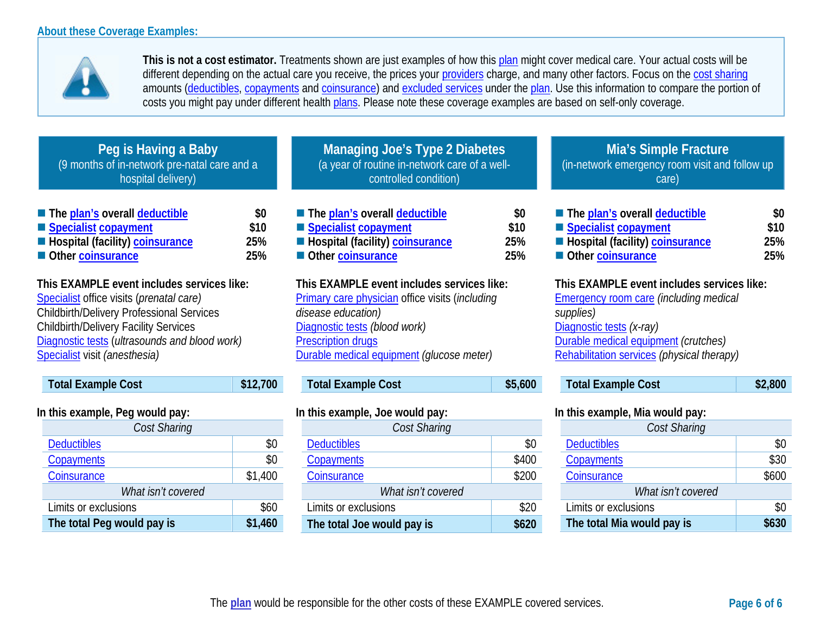**The total Peg would pay is \$1,460**



**This is not a cost estimator.** Treatments shown are just examples of how this [plan](https://www.healthcare.gov/sbc-glossary/#plan) might cover medical care. Your actual costs will be different depending on the actual care you receive, the prices your [providers](https://www.healthcare.gov/sbc-glossary/#provider) charge, and many other factors. Focus on the [cost sharing](https://www.healthcare.gov/sbc-glossary/#cost-sharing) amounts [\(deductibles,](https://www.healthcare.gov/sbc-glossary/#deductible) [copayments](https://www.healthcare.gov/sbc-glossary/#copayment) and [coinsurance\)](https://www.healthcare.gov/sbc-glossary/#coinsurance) and [excluded services](https://www.healthcare.gov/sbc-glossary/#excluded-services) under the [plan.](https://www.healthcare.gov/sbc-glossary/#plan) Use this information to compare the portion of costs you might pay under different health [plans.](https://www.healthcare.gov/sbc-glossary/#plan) Please note these coverage examples are based on self-only coverage.

| Peg is Having a Baby<br>(9 months of in-network pre-natal care and a<br>hospital delivery)                                                                                                                                                                                   |                           | <b>Managing Joe's Type 2 Diabetes</b><br>(a year of routine in-network care of a well-<br>controlled condition)                                                                                                                       |                           | <b>Mia's Simple Fracture</b><br>(in-network emergency room visit and follow up<br>care)                                                                                                                                    |                           |
|------------------------------------------------------------------------------------------------------------------------------------------------------------------------------------------------------------------------------------------------------------------------------|---------------------------|---------------------------------------------------------------------------------------------------------------------------------------------------------------------------------------------------------------------------------------|---------------------------|----------------------------------------------------------------------------------------------------------------------------------------------------------------------------------------------------------------------------|---------------------------|
| The plan's overall deductible<br>Specialist copayment<br>Hospital (facility) coinsurance<br>Other coinsurance                                                                                                                                                                | \$0<br>\$10<br>25%<br>25% | The plan's overall deductible<br>Specialist copayment<br>Hospital (facility) coinsurance<br>Other coinsurance                                                                                                                         | \$0<br>\$10<br>25%<br>25% | The plan's overall deductible<br>Specialist copayment<br>Hospital (facility) coinsurance<br>Other coinsurance                                                                                                              | \$0<br>\$10<br>25%<br>25% |
| This EXAMPLE event includes services like:<br>Specialist office visits (prenatal care)<br><b>Childbirth/Delivery Professional Services</b><br><b>Childbirth/Delivery Facility Services</b><br>Diagnostic tests (ultrasounds and blood work)<br>Specialist visit (anesthesia) |                           | This EXAMPLE event includes services like:<br><b>Primary care physician office visits (including</b><br>disease education)<br>Diagnostic tests (blood work)<br><b>Prescription drugs</b><br>Durable medical equipment (glucose meter) |                           | This EXAMPLE event includes services like:<br><b>Emergency room care (including medical</b><br>supplies)<br>Diagnostic tests (x-ray)<br>Durable medical equipment (crutches)<br>Rehabilitation services (physical therapy) |                           |
| <b>Total Example Cost</b>                                                                                                                                                                                                                                                    | \$12,700                  | <b>Total Example Cost</b>                                                                                                                                                                                                             | \$5,600                   | <b>Total Example Cost</b>                                                                                                                                                                                                  | \$2,800                   |
| In this example, Peg would pay:<br>Cost Sharing                                                                                                                                                                                                                              |                           | In this example, Joe would pay:<br>Cost Sharing                                                                                                                                                                                       |                           | In this example, Mia would pay:<br>Cost Sharing                                                                                                                                                                            |                           |
| <b>Deductibles</b>                                                                                                                                                                                                                                                           | \$0                       | <b>Deductibles</b>                                                                                                                                                                                                                    | \$0                       | <b>Deductibles</b>                                                                                                                                                                                                         | \$0                       |
| Copayments                                                                                                                                                                                                                                                                   | \$0                       | Copayments                                                                                                                                                                                                                            | \$400                     | Copayments                                                                                                                                                                                                                 | \$30                      |
| Coinsurance                                                                                                                                                                                                                                                                  | \$1,400                   | Coinsurance                                                                                                                                                                                                                           | \$200                     | Coinsurance                                                                                                                                                                                                                | \$600                     |
| What isn't covered                                                                                                                                                                                                                                                           |                           | What isn't covered                                                                                                                                                                                                                    |                           | What isn't covered                                                                                                                                                                                                         |                           |
| Limits or exclusions                                                                                                                                                                                                                                                         | \$60                      | Limits or exclusions                                                                                                                                                                                                                  | \$20                      | imits or exclusions                                                                                                                                                                                                        | \$0                       |

**The total Joe would pay is \$620**

**The total Mia would pay is \$630**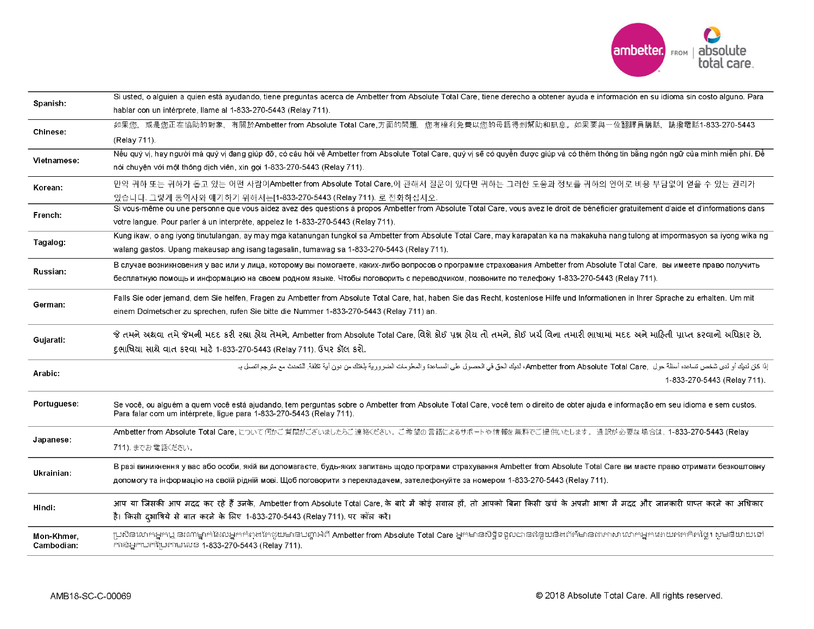

| Spanish:    | Si usted, o alguien a quien está ayudando, tiene preguntas acerca de Ambetter from Absolute Total Care, tiene derecho a obtener ayuda e información en su idioma sin costo alguno. Para |
|-------------|-----------------------------------------------------------------------------------------------------------------------------------------------------------------------------------------|
|             | hablar con un intérprete, llame al 1-833-270-5443 (Relay 711).                                                                                                                          |
| Chinese:    | 如果您,或是您正在協助的對象,有關於Ambetter from Absolute Total Care,方面的問題,您有權利免費以您的母語得到幫助和訊息。如果要與一位翻譯員講話,請撥電話1-833-270-5443                                                                             |
|             | (Relay 711).                                                                                                                                                                            |
| Vietnamese: | Nếu quý vi, hay người mà quý vi đang giúp đỡ, có câu hỏi về Ambetter from Absolute Total Care, quý vi sẽ có quyền được giúp và có thêm thông tin bằng ngôn ngữ của mình miễn phí. Đề    |
|             | nói chuyện với một thông dịch viên, xin gọi 1-833-270-5443 (Relay 711).                                                                                                                 |
| Korean:     | 만약 귀하 또는 귀하가 돕고 있는 어떤 사람이Ambetter from Absolute Total Care,에 관해서 질문이 있다면 귀하는 그러한 도움과 정보를 귀하의 언어로 비용 부담없이 얻을 수 있는 권리가                                                                    |
|             | 있습니다. 그렇게 통역사와 얘기하기 위해서는[1-833-270-5443 (Relay 711). 로 전화하십시오.                                                                                                                          |
| French:     | Si vous-même ou une personne que vous aidez avez des questions à propos Ambetter from Absolute Total Care, vous avez le droit de bénéficier gratuitement d'aide et d'informations dans  |
|             | votre langue. Pour parler à un interprète, appelez le 1-833-270-5443 (Relay 711).                                                                                                       |
| Tagalog:    | Kung ikaw, o ang iyong tinutulangan, ay may mga katanungan tungkol sa Ambetter from Absolute Total Care, may karapatan ka na makakuha nang tulong at impormasyon sa iyong wika ng       |
|             | walang gastos. Upang makausap ang isang tagasalin, tumawag sa 1-833-270-5443 (Relay 711).                                                                                               |
| Russian:    | В случае возникновения у вас или у лица, которому вы помогаете, каких-либо вопросов о программе страхования Ambetter from Absolute Total Care, вы имеете право получить                 |
|             | бесплатную помощь и информацию на своем родном языке. Чтобы поговорить с переводчиком, позвоните по телефону 1-833-270-5443 (Relay 711).                                                |
| German:     | Falls Sie oder jemand, dem Sie helfen, Fragen zu Ambetter from Absolute Total Care, hat, haben Sie das Recht, kostenlose Hilfe und Informationen in Ihrer Sprache zu erhalten. Um mit   |
|             | einem Dolmetscher zu sprechen, rufen Sie bitte die Nummer 1-833-270-5443 (Relay 711) an.                                                                                                |
| Gujarati:   | જે તમને અથવા તમે જેમની મદદ કરી રહ્યા હોય તેમને, Ambetter from Absolute Total Care, વિશે કોઈ પ્રક્ષ હોય તો તમને, કોઈ ખર્ચ વિના તમારી ભાષામાં મદદ અને માહિતી પ્રાપ્ત કરવાનો અધિકાર છે.    |
|             | દુભાષિયા સાથે વાત કરવા માટે 1-833-270-5443 (Relay 711). ઉપર કૉલ કરો.                                                                                                                    |
|             | إذا كل لديك أو لدى شخص تساعده أسئلة حول  Ambetter from Absolute Total Care, لديك الحق في الحصول ولسلومات الضرورية بلغتك من دون أية نكلفة التحدث مع مترجم اتصل بـ                        |
| Arabic:     | 1-833-270-5443 (Relay 711).                                                                                                                                                             |
| Portuguese: | Se você, ou alguém a quem você está ajudando, tem perguntas sobre o Ambetter from Absolute Total Care, você tem o direito de obter ajuda e informação em seu idioma e sem custos.       |
|             | Para falar com um intérprete, ligue para 1-833-270-5443 (Relay 711).                                                                                                                    |
|             | Ambetter from Absolute Total Care, について何かご質問がございましたらご連絡ください。ご希望の言語によるサポートや情報を無料でご提供いたします。通訳が必要な場合は、1-833-270-5443 (Relay                                                                |
| Japanese:   | 711). までお電話ください。                                                                                                                                                                        |
| Ukrainian:  | В разі виникнення у вас або особи, якій ви допомагаєте, будь-яких запитань щодо програми страхування Ambetter from Absolute Total Care ви маєте право отримати безкоштовну              |
|             | допомогу та інформацію на своїй рідній мові. Щоб поговорити з перекладачем, зателефонуйте за номером 1-833-270-5443 (Relay 711).                                                        |
| Hindi:      | आप या जिसकी आप मदद कर रहे हैं उनके, Ambetter from Absolute Total Care, के बारे में कोई सवाल हों, तो आपको बिना किसी खर्च के अपनी भाषा में मदद और जानकारी प्राप्त करने का अधिकार          |
|             | है। किसी दुभाषिये से बात करने के लिए 1-833-270-5443 (Relay 711) पर कॉल करें।                                                                                                            |
| Mon-Khmer,  | ប្រសិនលោកអ្នកឬ នរណម្នាក់ដែលអ្នកកំពុងតែជួយមានបញ្ហាអំពី Ambetter from Absolute Total Care អ្នកមានសិទ្ធិទទួលបានជំនួយនឹងព័ត៌មានដាភាសាលោកអ្នកដោយឥតគិតថ្លៃ។ សូមនិយាយទៅ                        |
| Cambodian:  | mន់អ្នកបកប្រែតាមលេខ 1-833-270-5443 (Relay 711).                                                                                                                                         |